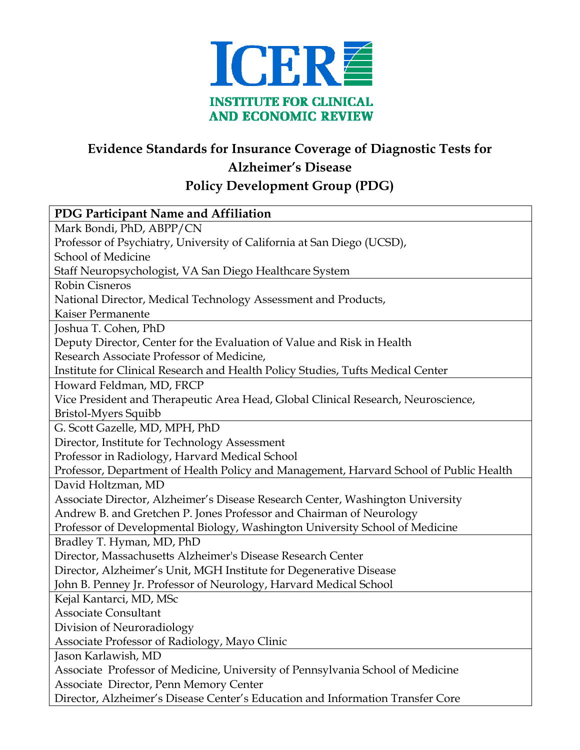

## **Evidence Standards for Insurance Coverage of Diagnostic Tests for Alzheimer's Disease**

**Policy Development Group (PDG)** 

| PDG Participant Name and Affiliation                                                   |
|----------------------------------------------------------------------------------------|
| Mark Bondi, PhD, ABPP/CN                                                               |
| Professor of Psychiatry, University of California at San Diego (UCSD),                 |
| School of Medicine                                                                     |
| Staff Neuropsychologist, VA San Diego Healthcare System                                |
| <b>Robin Cisneros</b>                                                                  |
| National Director, Medical Technology Assessment and Products,                         |
| Kaiser Permanente                                                                      |
| Joshua T. Cohen, PhD                                                                   |
| Deputy Director, Center for the Evaluation of Value and Risk in Health                 |
| Research Associate Professor of Medicine,                                              |
| Institute for Clinical Research and Health Policy Studies, Tufts Medical Center        |
| Howard Feldman, MD, FRCP                                                               |
| Vice President and Therapeutic Area Head, Global Clinical Research, Neuroscience,      |
| <b>Bristol-Myers Squibb</b>                                                            |
| G. Scott Gazelle, MD, MPH, PhD                                                         |
| Director, Institute for Technology Assessment                                          |
| Professor in Radiology, Harvard Medical School                                         |
| Professor, Department of Health Policy and Management, Harvard School of Public Health |
| David Holtzman, MD                                                                     |
| Associate Director, Alzheimer's Disease Research Center, Washington University         |
| Andrew B. and Gretchen P. Jones Professor and Chairman of Neurology                    |
| Professor of Developmental Biology, Washington University School of Medicine           |
| Bradley T. Hyman, MD, PhD                                                              |
| Director, Massachusetts Alzheimer's Disease Research Center                            |
| Director, Alzheimer's Unit, MGH Institute for Degenerative Disease                     |
| John B. Penney Jr. Professor of Neurology, Harvard Medical School                      |
| Kejal Kantarci, MD, MSc                                                                |
| <b>Associate Consultant</b>                                                            |
| Division of Neuroradiology                                                             |
| Associate Professor of Radiology, Mayo Clinic                                          |
| Jason Karlawish, MD                                                                    |
| Associate Professor of Medicine, University of Pennsylvania School of Medicine         |
| Associate Director, Penn Memory Center                                                 |
| Director, Alzheimer's Disease Center's Education and Information Transfer Core         |